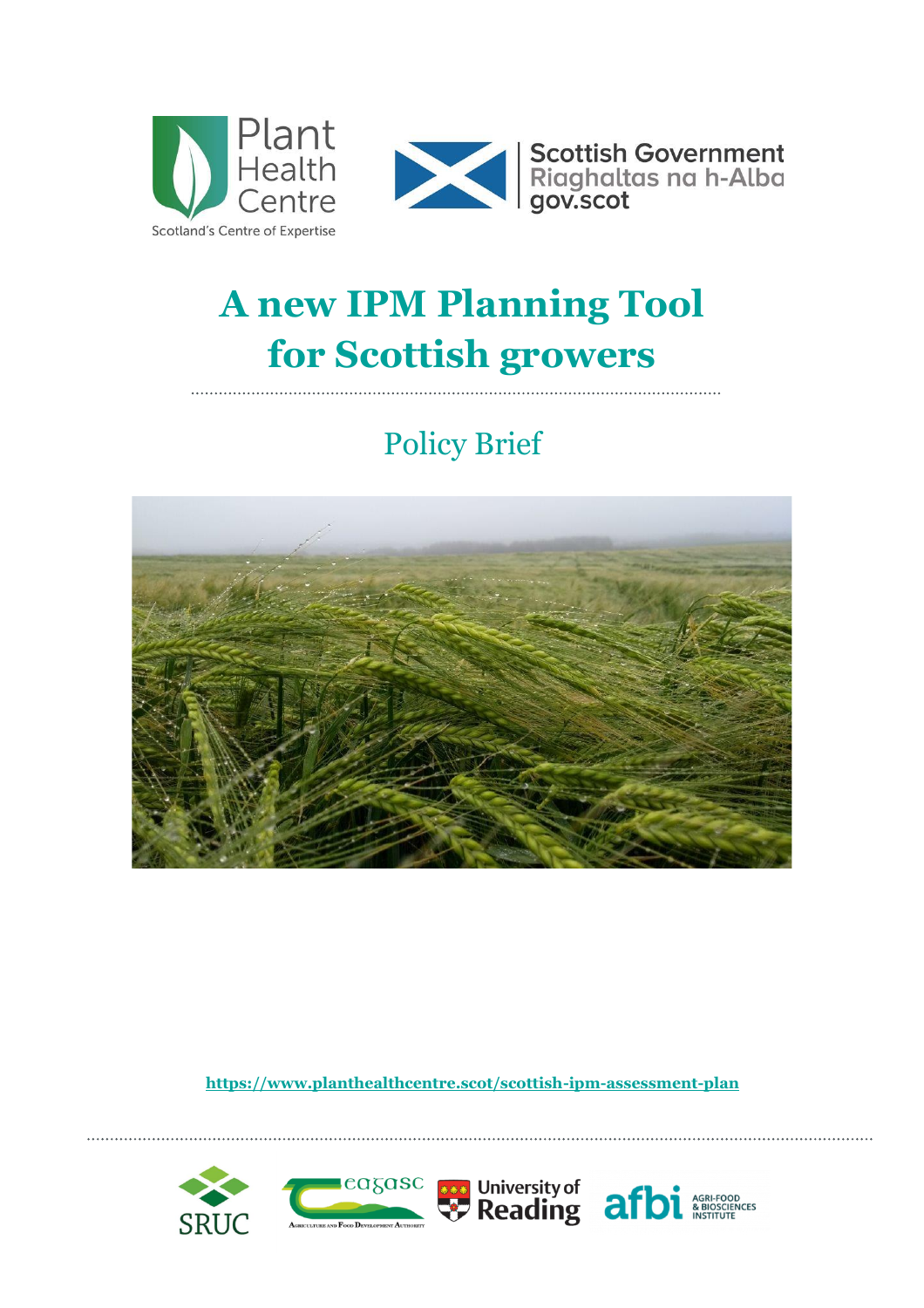



# **A new IPM Planning Tool for Scottish growers**

## Policy Brief



**<https://www.planthealthcentre.scot/scottish-ipm-assessment-plan>**

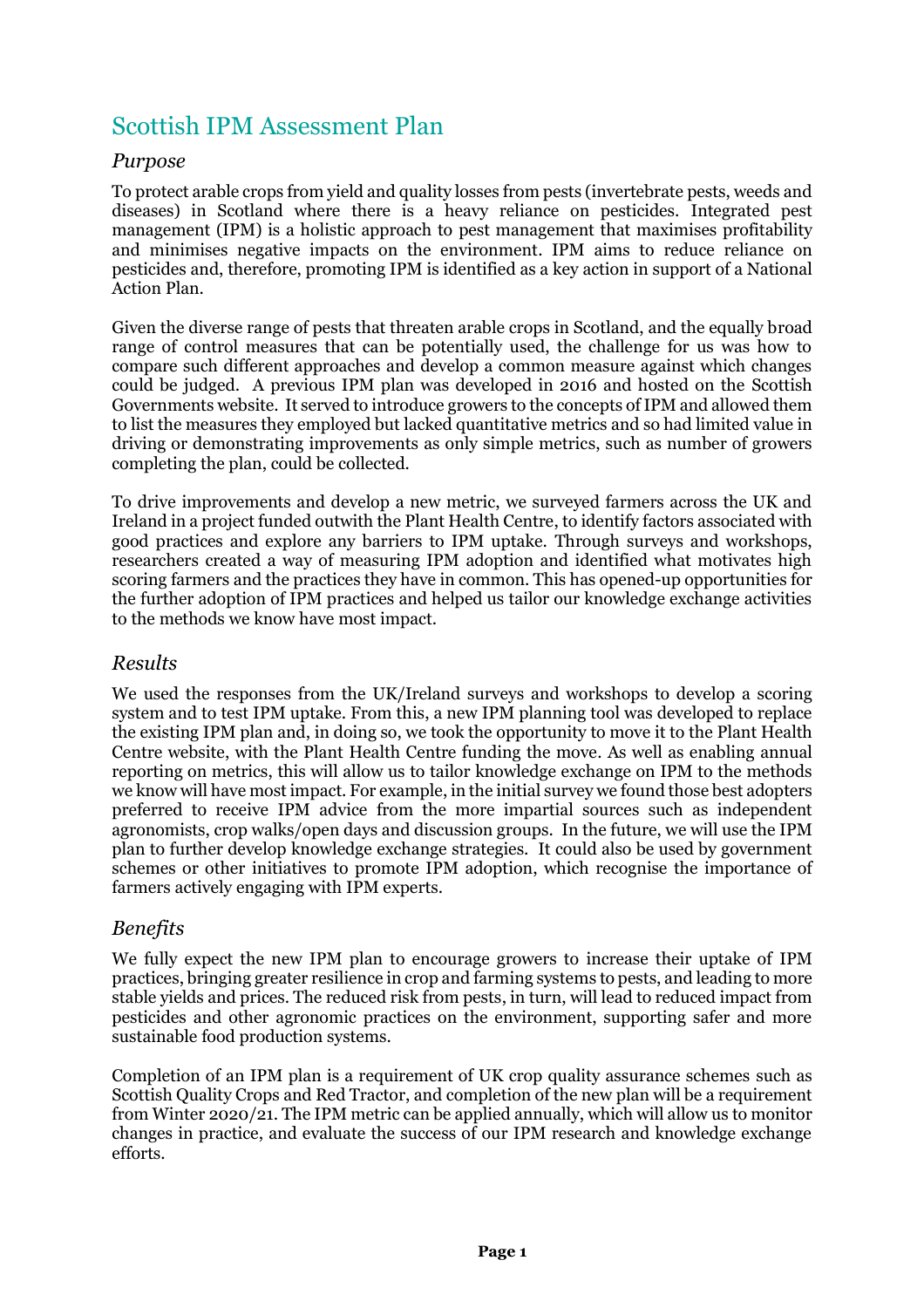### Scottish IPM Assessment Plan

#### *Purpose*

To protect arable crops from yield and quality losses from pests (invertebrate pests, weeds and diseases) in Scotland where there is a heavy reliance on pesticides. Integrated pest management (IPM) is a holistic approach to pest management that maximises profitability and minimises negative impacts on the environment. IPM aims to reduce reliance on pesticides and, therefore, promoting IPM is identified as a key action in support of a National Action Plan.

Given the diverse range of pests that threaten arable crops in Scotland, and the equally broad range of control measures that can be potentially used, the challenge for us was how to compare such different approaches and develop a common measure against which changes could be judged. A previous IPM plan was developed in 2016 and hosted on the Scottish Governments website. It served to introduce growers to the concepts of IPM and allowed them to list the measures they employed but lacked quantitative metrics and so had limited value in driving or demonstrating improvements as only simple metrics, such as number of growers completing the plan, could be collected.

To drive improvements and develop a new metric, we surveyed farmers across the UK and Ireland in a project funded outwith the Plant Health Centre, to identify factors associated with good practices and explore any barriers to IPM uptake. Through surveys and workshops, researchers created a way of measuring IPM adoption and identified what motivates high scoring farmers and the practices they have in common. This has opened-up opportunities for the further adoption of IPM practices and helped us tailor our knowledge exchange activities to the methods we know have most impact.

#### *Results*

We used the responses from the UK/Ireland surveys and workshops to develop a scoring system and to test IPM uptake. From this, a new IPM planning tool was developed to replace the existing IPM plan and, in doing so, we took the opportunity to move it to the Plant Health Centre website, with the Plant Health Centre funding the move. As well as enabling annual reporting on metrics, this will allow us to tailor knowledge exchange on IPM to the methods we know will have most impact. For example, in the initial survey we found those best adopters preferred to receive IPM advice from the more impartial sources such as independent agronomists, crop walks/open days and discussion groups. In the future, we will use the IPM plan to further develop knowledge exchange strategies. It could also be used by government schemes or other initiatives to promote IPM adoption, which recognise the importance of farmers actively engaging with IPM experts.

#### *Benefits*

We fully expect the new IPM plan to encourage growers to increase their uptake of IPM practices, bringing greater resilience in crop and farming systems to pests, and leading to more stable yields and prices. The reduced risk from pests, in turn, will lead to reduced impact from pesticides and other agronomic practices on the environment, supporting safer and more sustainable food production systems.

Completion of an IPM plan is a requirement of UK crop quality assurance schemes such as Scottish Quality Crops and Red Tractor, and completion of the new plan will be a requirement from Winter 2020/21. The IPM metric can be applied annually, which will allow us to monitor changes in practice, and evaluate the success of our IPM research and knowledge exchange efforts.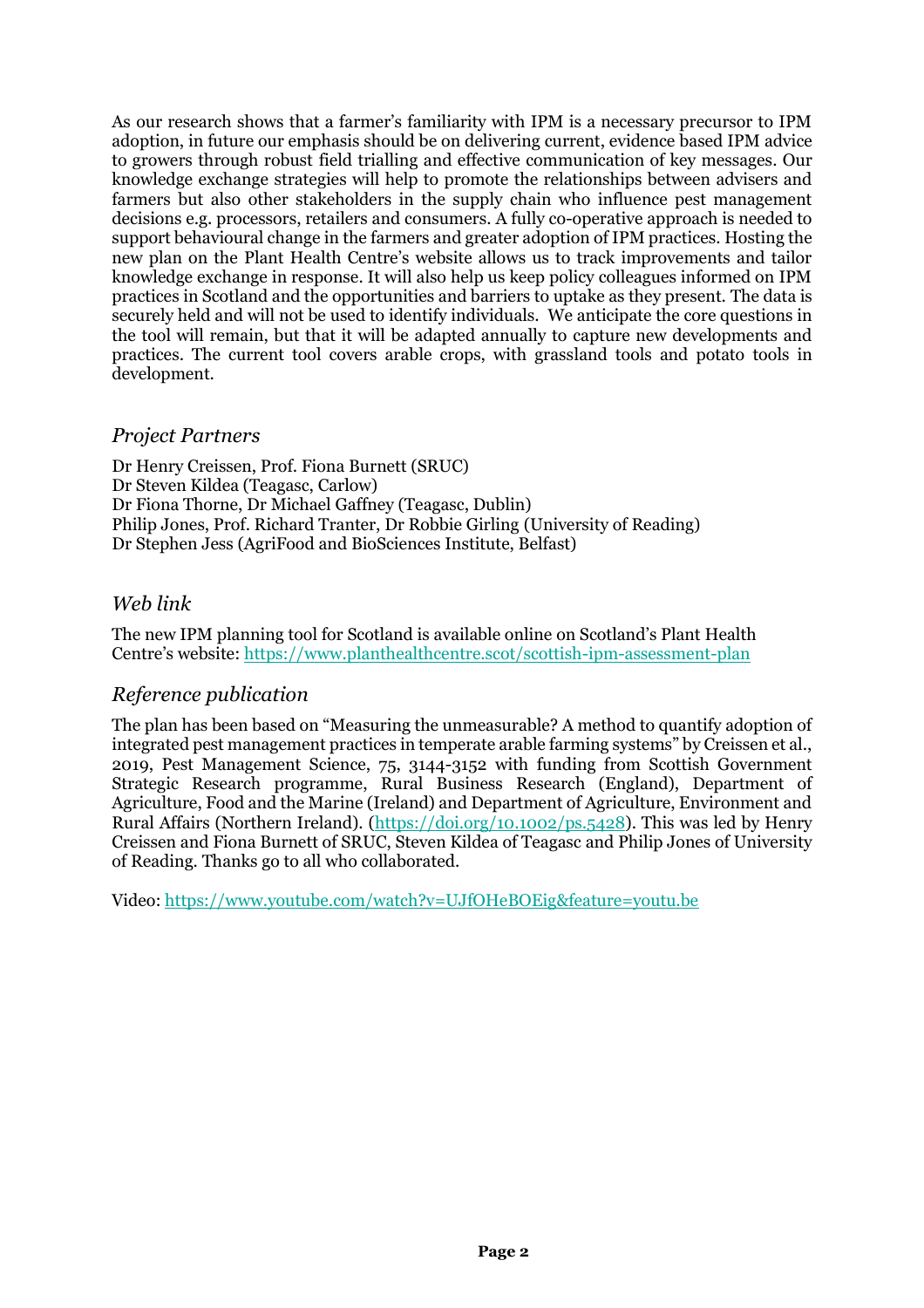As our research shows that a farmer's familiarity with IPM is a necessary precursor to IPM adoption, in future our emphasis should be on delivering current, evidence based IPM advice to growers through robust field trialling and effective communication of key messages. Our knowledge exchange strategies will help to promote the relationships between advisers and farmers but also other stakeholders in the supply chain who influence pest management decisions e.g. processors, retailers and consumers. A fully co-operative approach is needed to support behavioural change in the farmers and greater adoption of IPM practices. Hosting the new plan on the Plant Health Centre's website allows us to track improvements and tailor knowledge exchange in response. It will also help us keep policy colleagues informed on IPM practices in Scotland and the opportunities and barriers to uptake as they present. The data is securely held and will not be used to identify individuals. We anticipate the core questions in the tool will remain, but that it will be adapted annually to capture new developments and practices. The current tool covers arable crops, with grassland tools and potato tools in development.

#### *Project Partners*

Dr Henry Creissen, Prof. Fiona Burnett (SRUC) Dr Steven Kildea (Teagasc, Carlow) Dr Fiona Thorne, Dr Michael Gaffney (Teagasc, Dublin) Philip Jones, Prof. Richard Tranter, Dr Robbie Girling (University of Reading) Dr Stephen Jess (AgriFood and BioSciences Institute, Belfast)

#### *Web link*

The new IPM planning tool for Scotland is available online on Scotland's Plant Health Centre's website: <https://www.planthealthcentre.scot/scottish-ipm-assessment-plan>

#### *Reference publication*

The plan has been based on "Measuring the unmeasurable? A method to quantify adoption of integrated pest management practices in temperate arable farming systems" by Creissen et al., 2019, Pest Management Science, 75, 3144-3152 with funding from Scottish Government Strategic Research programme, Rural Business Research (England), Department of Agriculture, Food and the Marine (Ireland) and Department of Agriculture, Environment and Rural Affairs (Northern Ireland). [\(https://doi.org/10.1002/ps.5428\)](https://doi.org/10.1002/ps.5428). This was led by Henry Creissen and Fiona Burnett of SRUC, Steven Kildea of Teagasc and Philip Jones of University of Reading. Thanks go to all who collaborated.

Video: <https://www.youtube.com/watch?v=UJfOHeBOEig&feature=youtu.be>